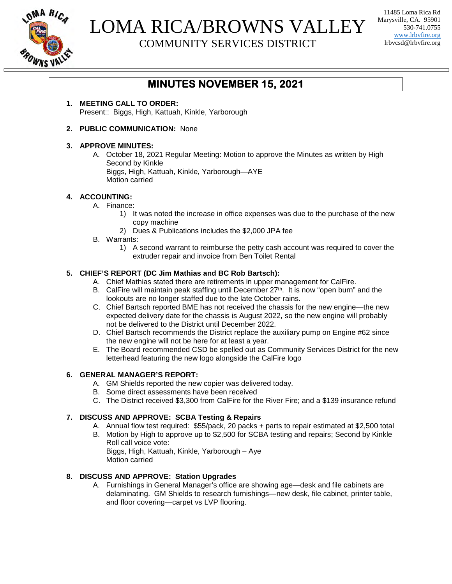

# LOMA RICA/BROWNS VALLEY

COMMUNITY SERVICES DISTRICT

11485 Loma Rica Rd Marysville, CA. 95901 530-741.0755 www.lrbvfire.org lrbvcsd@lrbvfire.org

### **MINUTES NOVEMBER 15, 2021**

**1. MEETING CALL TO ORDER:** Present:: Biggs, High, Kattuah, Kinkle, Yarborough

#### **2. PUBLIC COMMUNICATION:** None

#### **3. APPROVE MINUTES:**

A. October 18, 2021 Regular Meeting: Motion to approve the Minutes as written by High Second by Kinkle Biggs, High, Kattuah, Kinkle, Yarborough—AYE Motion carried

#### **4. ACCOUNTING:**

- A. Finance:
	- 1) It was noted the increase in office expenses was due to the purchase of the new copy machine
	- 2) Dues & Publications includes the \$2,000 JPA fee
- B. Warrants:
	- 1) A second warrant to reimburse the petty cash account was required to cover the extruder repair and invoice from Ben Toilet Rental

#### **5. CHIEF'S REPORT (DC Jim Mathias and BC Rob Bartsch):**

- A. Chief Mathias stated there are retirements in upper management for CalFire.
- B. CalFire will maintain peak staffing until December 27<sup>th</sup>. It is now "open burn" and the lookouts are no longer staffed due to the late October rains.
- C. Chief Bartsch reported BME has not received the chassis for the new engine—the new expected delivery date for the chassis is August 2022, so the new engine will probably not be delivered to the District until December 2022.
- D. Chief Bartsch recommends the District replace the auxiliary pump on Engine #62 since the new engine will not be here for at least a year.
- E. The Board recommended CSD be spelled out as Community Services District for the new letterhead featuring the new logo alongside the CalFire logo

#### **6. GENERAL MANAGER'S REPORT:**

- A. GM Shields reported the new copier was delivered today.
- B. Some direct assessments have been received
- C. The District received \$3,300 from CalFire for the River Fire; and a \$139 insurance refund

#### **7. DISCUSS AND APPROVE: SCBA Testing & Repairs**

- A. Annual flow test required: \$55/pack, 20 packs + parts to repair estimated at \$2,500 total
- B. Motion by High to approve up to \$2,500 for SCBA testing and repairs; Second by Kinkle Roll call voice vote:

Biggs, High, Kattuah, Kinkle, Yarborough – Aye Motion carried

#### **8. DISCUSS AND APPROVE: Station Upgrades**

A. Furnishings in General Manager's office are showing age—desk and file cabinets are delaminating. GM Shields to research furnishings—new desk, file cabinet, printer table, and floor covering—carpet vs LVP flooring.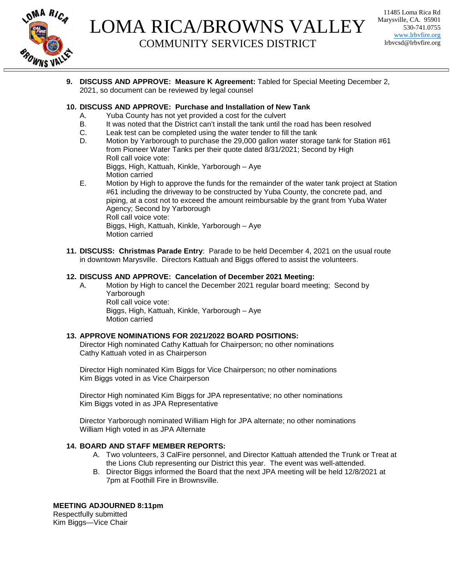

## LOMA RICA/BROWNS VALLEY COMMUNITY SERVICES DISTRICT

11485 Loma Rica Rd Marysville, CA. 95901 530-741.0755 www.lrbvfire.org lrbvcsd@lrbvfire.org

**9. DISCUSS AND APPROVE: Measure K Agreement:** Tabled for Special Meeting December 2, 2021, so document can be reviewed by legal counsel

#### **10. DISCUSS AND APPROVE: Purchase and Installation of New Tank**

- A. Yuba County has not yet provided a cost for the culvert
- B. It was noted that the District can't install the tank until the road has been resolved
- C. Leak test can be completed using the water tender to fill the tank
- D. Motion by Yarborough to purchase the 29,000 gallon water storage tank for Station #61 from Pioneer Water Tanks per their quote dated 8/31/2021; Second by High Roll call voice vote: Biggs, High, Kattuah, Kinkle, Yarborough – Aye
	- Motion carried
- E. Motion by High to approve the funds for the remainder of the water tank project at Station #61 including the driveway to be constructed by Yuba County, the concrete pad, and piping, at a cost not to exceed the amount reimbursable by the grant from Yuba Water Agency; Second by Yarborough Roll call voice vote: Biggs, High, Kattuah, Kinkle, Yarborough – Aye Motion carried
- **11. DISCUSS: Christmas Parade Entry**: Parade to be held December 4, 2021 on the usual route in downtown Marysville. Directors Kattuah and Biggs offered to assist the volunteers.

#### **12. DISCUSS AND APPROVE: Cancelation of December 2021 Meeting:**

A. Motion by High to cancel the December 2021 regular board meeting; Second by Yarborough Roll call voice vote: Biggs, High, Kattuah, Kinkle, Yarborough – Aye Motion carried

#### **13. APPROVE NOMINATIONS FOR 2021/2022 BOARD POSITIONS:**

Director High nominated Cathy Kattuah for Chairperson; no other nominations Cathy Kattuah voted in as Chairperson

Director High nominated Kim Biggs for Vice Chairperson; no other nominations Kim Biggs voted in as Vice Chairperson

Director High nominated Kim Biggs for JPA representative; no other nominations Kim Biggs voted in as JPA Representative

Director Yarborough nominated William High for JPA alternate; no other nominations William High voted in as JPA Alternate

#### **14. BOARD AND STAFF MEMBER REPORTS:**

- A. Two volunteers, 3 CalFire personnel, and Director Kattuah attended the Trunk or Treat at the Lions Club representing our District this year. The event was well-attended.
- B. Director Biggs informed the Board that the next JPA meeting will be held 12/8/2021 at 7pm at Foothill Fire in Brownsville.

#### **MEETING ADJOURNED 8:11pm**

Respectfully submitted Kim Biggs—Vice Chair